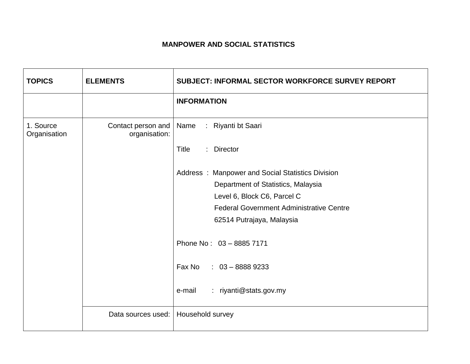## **MANPOWER AND SOCIAL STATISTICS**

| <b>TOPICS</b>             | <b>ELEMENTS</b>                     | SUBJECT: INFORMAL SECTOR WORKFORCE SURVEY REPORT |
|---------------------------|-------------------------------------|--------------------------------------------------|
|                           |                                     | <b>INFORMATION</b>                               |
| 1. Source<br>Organisation | Contact person and<br>organisation: | Name<br>: Riyanti bt Saari                       |
|                           |                                     | Title<br>: Director                              |
|                           |                                     | Address: Manpower and Social Statistics Division |
|                           |                                     | Department of Statistics, Malaysia               |
|                           |                                     | Level 6, Block C6, Parcel C                      |
|                           |                                     | <b>Federal Government Administrative Centre</b>  |
|                           |                                     | 62514 Putrajaya, Malaysia                        |
|                           |                                     | Phone No: 03 - 8885 7171                         |
|                           |                                     | Fax No<br>$: 03 - 88889233$                      |
|                           |                                     | : riyanti@stats.gov.my<br>e-mail                 |
|                           | Data sources used:                  | Household survey                                 |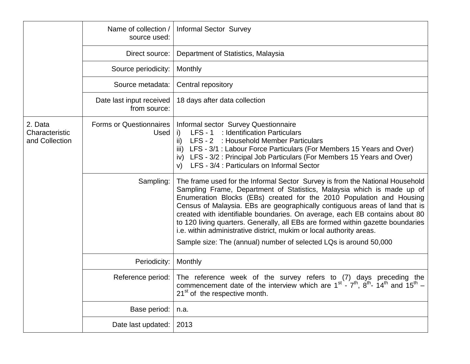|                                             | Name of collection /<br>source used:     | <b>Informal Sector Survey</b>                                                                                                                                                                                                                                                                                                                                                                                                                                                                                                                                                                                                |
|---------------------------------------------|------------------------------------------|------------------------------------------------------------------------------------------------------------------------------------------------------------------------------------------------------------------------------------------------------------------------------------------------------------------------------------------------------------------------------------------------------------------------------------------------------------------------------------------------------------------------------------------------------------------------------------------------------------------------------|
|                                             | Direct source:                           | Department of Statistics, Malaysia                                                                                                                                                                                                                                                                                                                                                                                                                                                                                                                                                                                           |
|                                             | Source periodicity:                      | Monthly                                                                                                                                                                                                                                                                                                                                                                                                                                                                                                                                                                                                                      |
|                                             | Source metadata:                         | Central repository                                                                                                                                                                                                                                                                                                                                                                                                                                                                                                                                                                                                           |
|                                             | Date last input received<br>from source: | 18 days after data collection                                                                                                                                                                                                                                                                                                                                                                                                                                                                                                                                                                                                |
| 2. Data<br>Characteristic<br>and Collection | <b>Forms or Questionnaires</b><br>Used   | Informal sector Survey Questionnaire<br>LFS - 1 : Identification Particulars<br>i)<br>LFS - 2 : Household Member Particulars<br>ii)<br>LFS - 3/1 : Labour Force Particulars (For Members 15 Years and Over)<br>iii)<br>LFS - 3/2 : Principal Job Particulars (For Members 15 Years and Over)<br>iv)<br>LFS - 3/4 : Particulars on Informal Sector<br>V)                                                                                                                                                                                                                                                                      |
|                                             | Sampling:                                | The frame used for the Informal Sector Survey is from the National Household<br>Sampling Frame, Department of Statistics, Malaysia which is made up of<br>Enumeration Blocks (EBs) created for the 2010 Population and Housing<br>Census of Malaysia. EBs are geographically contiguous areas of land that is<br>created with identifiable boundaries. On average, each EB contains about 80<br>to 120 living quarters. Generally, all EBs are formed within gazette boundaries<br>i.e. within administrative district, mukim or local authority areas.<br>Sample size: The (annual) number of selected LQs is around 50,000 |
|                                             | Periodicity:                             | Monthly                                                                                                                                                                                                                                                                                                                                                                                                                                                                                                                                                                                                                      |
|                                             | Reference period:                        | The reference week of the survey refers to (7) days preceding the<br>commencement date of the interview which are $1^{st}$ - $7^{th}$ , $8^{th}$ - $14^{th}$ and $15^{th}$ -<br>21 <sup>st</sup> of the respective month.                                                                                                                                                                                                                                                                                                                                                                                                    |
|                                             | Base period:                             | n.a.                                                                                                                                                                                                                                                                                                                                                                                                                                                                                                                                                                                                                         |
|                                             | Date last updated:                       | 2013                                                                                                                                                                                                                                                                                                                                                                                                                                                                                                                                                                                                                         |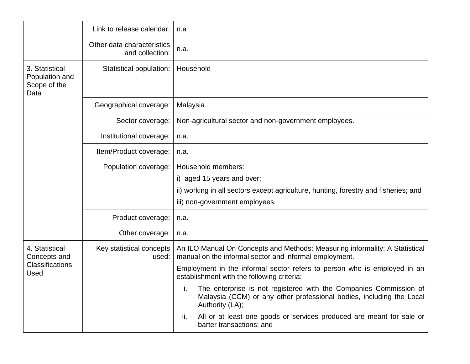|                                                                  | Link to release calendar:                     | n.a                                                                                                                                                                                                                                                                                                                                                                                                                                      |
|------------------------------------------------------------------|-----------------------------------------------|------------------------------------------------------------------------------------------------------------------------------------------------------------------------------------------------------------------------------------------------------------------------------------------------------------------------------------------------------------------------------------------------------------------------------------------|
|                                                                  | Other data characteristics<br>and collection: | n.a.                                                                                                                                                                                                                                                                                                                                                                                                                                     |
| 3. Statistical<br>Population and<br>Scope of the<br>Data         | Statistical population:                       | Household                                                                                                                                                                                                                                                                                                                                                                                                                                |
|                                                                  | Geographical coverage:                        | Malaysia                                                                                                                                                                                                                                                                                                                                                                                                                                 |
|                                                                  | Sector coverage:                              | Non-agricultural sector and non-government employees.                                                                                                                                                                                                                                                                                                                                                                                    |
|                                                                  | Institutional coverage:                       | n.a.                                                                                                                                                                                                                                                                                                                                                                                                                                     |
|                                                                  | Item/Product coverage:                        | n.a.                                                                                                                                                                                                                                                                                                                                                                                                                                     |
|                                                                  | Population coverage:                          | Household members:<br>i) aged 15 years and over;<br>ii) working in all sectors except agriculture, hunting, forestry and fisheries; and<br>iii) non-government employees.                                                                                                                                                                                                                                                                |
|                                                                  | Product coverage:                             | n.a.                                                                                                                                                                                                                                                                                                                                                                                                                                     |
|                                                                  | Other coverage:                               | n.a.                                                                                                                                                                                                                                                                                                                                                                                                                                     |
| 4. Statistical<br>Concepts and<br><b>Classifications</b><br>Used | Key statistical concepts<br>used:             | An ILO Manual On Concepts and Methods: Measuring informality: A Statistical<br>manual on the informal sector and informal employment.<br>Employment in the informal sector refers to person who is employed in an<br>establishment with the following criteria:<br>i. The enterprise is not registered with the Companies Commission of<br>ъ.<br>Malaysia (CCM) or any other professional bodies, including the Local<br>Authority (LA); |
|                                                                  |                                               | All or at least one goods or services produced are meant for sale or<br>ii.<br>barter transactions; and                                                                                                                                                                                                                                                                                                                                  |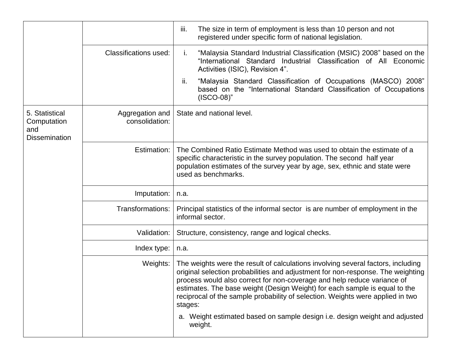|                                                              |                                   | iii.<br>The size in term of employment is less than 10 person and not<br>registered under specific form of national legislation.                                                                                                                                                                                                                                                                                                                                                                        |
|--------------------------------------------------------------|-----------------------------------|---------------------------------------------------------------------------------------------------------------------------------------------------------------------------------------------------------------------------------------------------------------------------------------------------------------------------------------------------------------------------------------------------------------------------------------------------------------------------------------------------------|
|                                                              | <b>Classifications used:</b>      | "Malaysia Standard Industrial Classification (MSIC) 2008" based on the<br>j.<br>"International Standard Industrial Classification of All Economic<br>Activities (ISIC), Revision 4".                                                                                                                                                                                                                                                                                                                    |
|                                                              |                                   | ii.<br>"Malaysia Standard Classification of Occupations (MASCO) 2008"<br>based on the "International Standard Classification of Occupations"<br>$(ISCO-08)$ "                                                                                                                                                                                                                                                                                                                                           |
| 5. Statistical<br>Computation<br>and<br><b>Dissemination</b> | Aggregation and<br>consolidation: | State and national level.                                                                                                                                                                                                                                                                                                                                                                                                                                                                               |
|                                                              | Estimation:                       | The Combined Ratio Estimate Method was used to obtain the estimate of a<br>specific characteristic in the survey population. The second half year<br>population estimates of the survey year by age, sex, ethnic and state were<br>used as benchmarks.                                                                                                                                                                                                                                                  |
|                                                              | Imputation:                       | n.a.                                                                                                                                                                                                                                                                                                                                                                                                                                                                                                    |
|                                                              | Transformations:                  | Principal statistics of the informal sector is are number of employment in the<br>informal sector.                                                                                                                                                                                                                                                                                                                                                                                                      |
|                                                              | Validation:                       | Structure, consistency, range and logical checks.                                                                                                                                                                                                                                                                                                                                                                                                                                                       |
|                                                              | Index type:                       | n.a.                                                                                                                                                                                                                                                                                                                                                                                                                                                                                                    |
|                                                              | Weights:                          | The weights were the result of calculations involving several factors, including<br>original selection probabilities and adjustment for non-response. The weighting<br>process would also correct for non-coverage and help reduce variance of<br>estimates. The base weight (Design Weight) for each sample is equal to the<br>reciprocal of the sample probability of selection. Weights were applied in two<br>stages:<br>a. Weight estimated based on sample design i.e. design weight and adjusted |
|                                                              |                                   | weight.                                                                                                                                                                                                                                                                                                                                                                                                                                                                                                 |